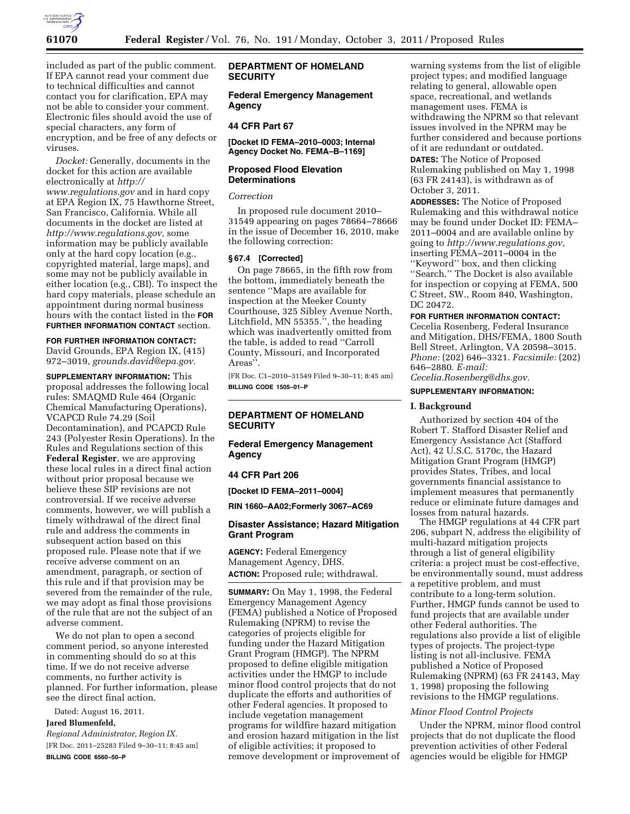

included as part of the public comment. If EPA cannot read your comment due to technical difficulties and cannot contact you for clarification, EPA may not be able to consider your comment. Electronic files should avoid the use of special characters, any form of encryption, and be free of any defects or viruses.

*Docket:* Generally, documents in the docket for this action are available electronically at *[http://](http://www.regulations.gov) [www.regulations.gov](http://www.regulations.gov)* and in hard copy at EPA Region IX, 75 Hawthorne Street, San Francisco, California. While all documents in the docket are listed at *[http://www.regulations.gov,](http://www.regulations.gov)* some information may be publicly available only at the hard copy location (e.g., copyrighted material, large maps), and some may not be publicly available in either location (e.g., CBI). To inspect the hard copy materials, please schedule an appointment during normal business hours with the contact listed in the **FOR FURTHER INFORMATION CONTACT** section.

**FOR FURTHER INFORMATION CONTACT:**  David Grounds, EPA Region IX, (415) 972–3019, *[grounds.david@epa.gov.](mailto:grounds.david@epa.gov)* 

**SUPPLEMENTARY INFORMATION:** This proposal addresses the following local rules: SMAQMD Rule 464 (Organic Chemical Manufacturing Operations), VCAPCD Rule 74.29 (Soil Decontamination), and PCAPCD Rule 243 (Polyester Resin Operations). In the Rules and Regulations section of this **Federal Register**, we are approving these local rules in a direct final action without prior proposal because we believe these SIP revisions are not controversial. If we receive adverse comments, however, we will publish a timely withdrawal of the direct final rule and address the comments in subsequent action based on this proposed rule. Please note that if we receive adverse comment on an amendment, paragraph, or section of this rule and if that provision may be severed from the remainder of the rule, we may adopt as final those provisions of the rule that are not the subject of an adverse comment.

We do not plan to open a second comment period, so anyone interested in commenting should do so at this time. If we do not receive adverse comments, no further activity is planned. For further information, please see the direct final action.

Dated: August 16, 2011.

# **Jared Blumenfeld,**

*Regional Administrator, Region IX.*  [FR Doc. 2011–25283 Filed 9–30–11; 8:45 am] **BILLING CODE 6560–50–P** 

## **DEPARTMENT OF HOMELAND SECURITY**

**Federal Emergency Management Agency** 

## **44 CFR Part 67**

**[Docket ID FEMA–2010–0003; Internal Agency Docket No. FEMA–B–1169]** 

# **Proposed Flood Elevation Determinations**

#### *Correction*

In proposed rule document 2010– 31549 appearing on pages 78664–78666 in the issue of December 16, 2010, make the following correction:

### **§ 67.4 [Corrected]**

On page 78665, in the fifth row from the bottom, immediately beneath the sentence ''Maps are available for inspection at the Meeker County Courthouse, 325 Sibley Avenue North, Litchfield, MN 55355.'', the heading which was inadvertently omitted from the table, is added to read ''Carroll County, Missouri, and Incorporated Areas''.

[FR Doc. C1–2010–31549 Filed 9–30–11; 8:45 am] **BILLING CODE 1505–01–P** 

# **DEPARTMENT OF HOMELAND SECURITY**

## **Federal Emergency Management Agency**

### **44 CFR Part 206**

**[Docket ID FEMA–2011–0004]** 

**RIN 1660–AA02;Formerly 3067–AC69** 

### **Disaster Assistance; Hazard Mitigation Grant Program**

**AGENCY:** Federal Emergency Management Agency, DHS. **ACTION:** Proposed rule; withdrawal.

**SUMMARY:** On May 1, 1998, the Federal Emergency Management Agency (FEMA) published a Notice of Proposed Rulemaking (NPRM) to revise the categories of projects eligible for funding under the Hazard Mitigation Grant Program (HMGP). The NPRM proposed to define eligible mitigation activities under the HMGP to include minor flood control projects that do not duplicate the efforts and authorities of other Federal agencies. It proposed to include vegetation management programs for wildfire hazard mitigation and erosion hazard mitigation in the list of eligible activities; it proposed to remove development or improvement of

warning systems from the list of eligible project types; and modified language relating to general, allowable open space, recreational, and wetlands management uses. FEMA is withdrawing the NPRM so that relevant issues involved in the NPRM may be further considered and because portions of it are redundant or outdated.

**DATES:** The Notice of Proposed Rulemaking published on May 1, 1998 (63 FR 24143), is withdrawn as of October 3, 2011.

**ADDRESSES:** The Notice of Proposed Rulemaking and this withdrawal notice may be found under Docket ID: FEMA– 2011–0004 and are available online by going to *[http://www.regulations.gov,](http://www.regulations.gov)*  inserting FEMA–2011–0004 in the ''Keyword'' box, and then clicking ''Search.'' The Docket is also available for inspection or copying at FEMA, 500 C Street, SW., Room 840, Washington, DC 20472.

## **FOR FURTHER INFORMATION CONTACT:**

Cecelia Rosenberg, Federal Insurance and Mitigation, DHS/FEMA, 1800 South Bell Street, Arlington, VA 20598–3015. *Phone:* (202) 646–3321. *Facsimile:* (202) 646–2880. *E-mail: [Cecelia.Rosenberg@dhs.gov.](mailto:Cecelia.Rosenberg@dhs.gov)* 

### **SUPPLEMENTARY INFORMATION:**

#### **I. Background**

Authorized by section 404 of the Robert T. Stafford Disaster Relief and Emergency Assistance Act (Stafford Act), 42 U.S.C. 5170c, the Hazard Mitigation Grant Program (HMGP) provides States, Tribes, and local governments financial assistance to implement measures that permanently reduce or eliminate future damages and losses from natural hazards.

The HMGP regulations at 44 CFR part 206, subpart N, address the eligibility of multi-hazard mitigation projects through a list of general eligibility criteria: a project must be cost-effective, be environmentally sound, must address a repetitive problem, and must contribute to a long-term solution. Further, HMGP funds cannot be used to fund projects that are available under other Federal authorities. The regulations also provide a list of eligible types of projects. The project-type listing is not all-inclusive. FEMA published a Notice of Proposed Rulemaking (NPRM) (63 FR 24143, May 1, 1998) proposing the following revisions to the HMGP regulations.

#### *Minor Flood Control Projects*

Under the NPRM, minor flood control projects that do not duplicate the flood prevention activities of other Federal agencies would be eligible for HMGP